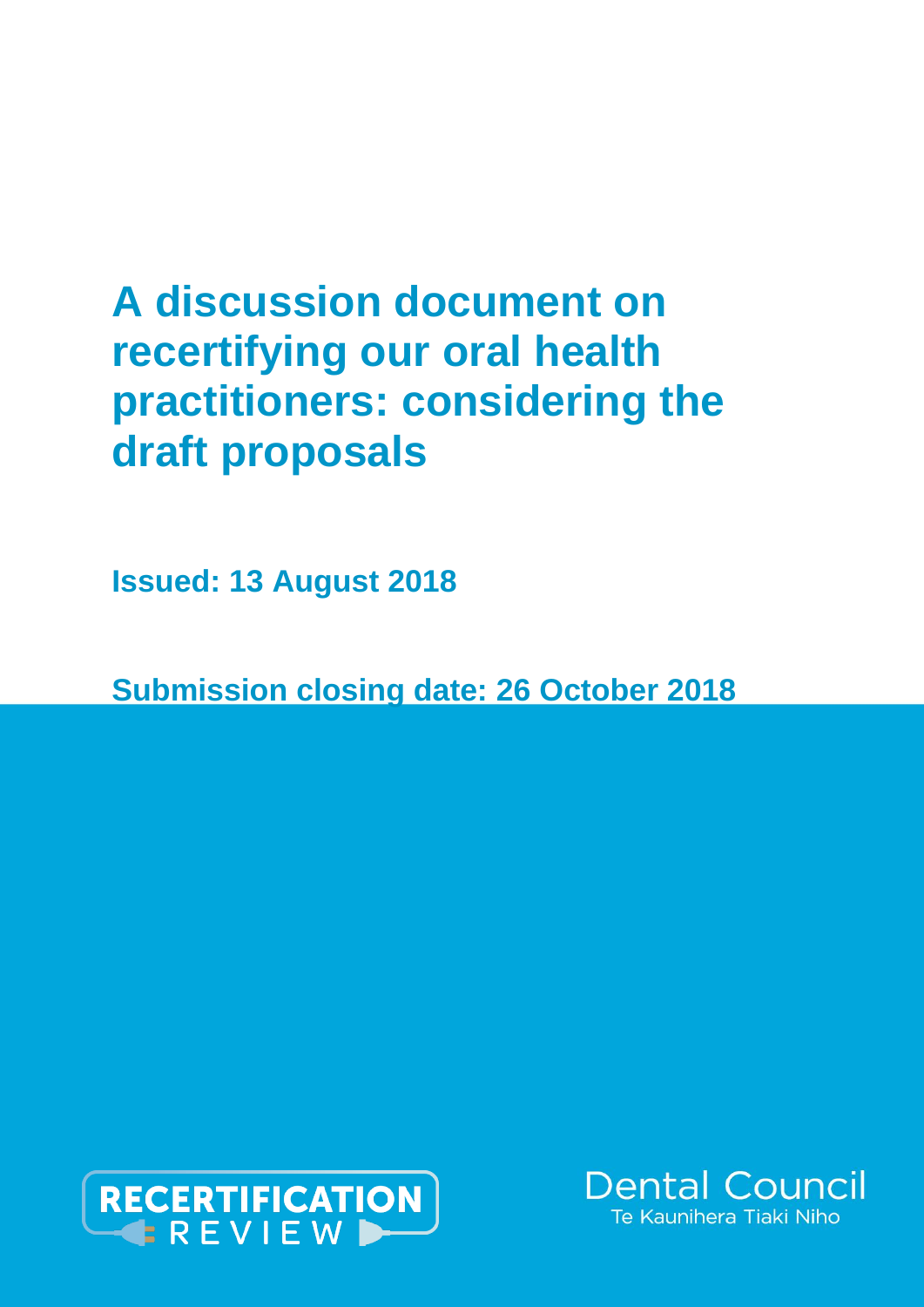# **A discussion document on recertifying our oral health practitioners: considering the draft proposals**

**Issued: 13 August 2018**

**Submission closing date: 26 October 2018**



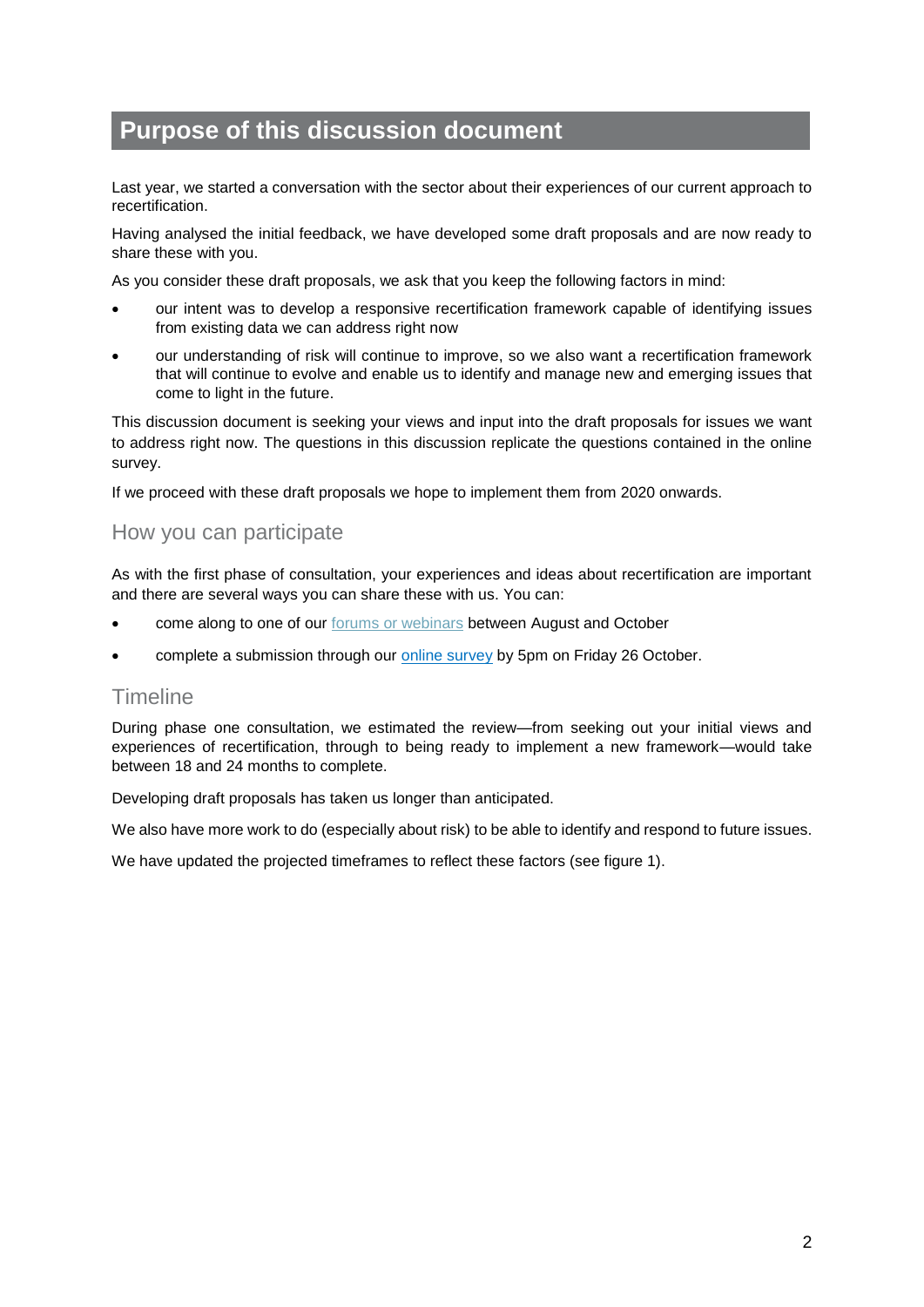# **Purpose of this discussion document**

Last year, we started a conversation with the sector about their experiences of our current approach to recertification.

Having analysed the initial feedback, we have developed some draft proposals and are now ready to share these with you.

As you consider these draft proposals, we ask that you keep the following factors in mind:

- our intent was to develop a responsive recertification framework capable of identifying issues from existing data we can address right now
- our understanding of risk will continue to improve, so we also want a recertification framework that will continue to evolve and enable us to identify and manage new and emerging issues that come to light in the future.

This discussion document is seeking your views and input into the draft proposals for issues we want to address right now. The questions in this discussion replicate the questions contained in the online survey.

If we proceed with these draft proposals we hope to implement them from 2020 onwards.

### How you can participate

As with the first phase of consultation, your experiences and ideas about recertification are important and there are several ways you can share these with us. You can:

- come along to one of our forums [or webinars](https://discussingdraftproposalsforrecertification.eventbrite.co.nz/) between August and October
- complete a submission through our [online survey](https://www.surveymonkey.com/r/yourfeedbackondraftproposals) by 5pm on Friday 26 October.

### **Timeline**

During phase one consultation, we estimated the review—from seeking out your initial views and experiences of recertification, through to being ready to implement a new framework—would take between 18 and 24 months to complete.

Developing draft proposals has taken us longer than anticipated.

We also have more work to do (especially about risk) to be able to identify and respond to future issues.

We have updated the projected timeframes to reflect these factors (see figure 1).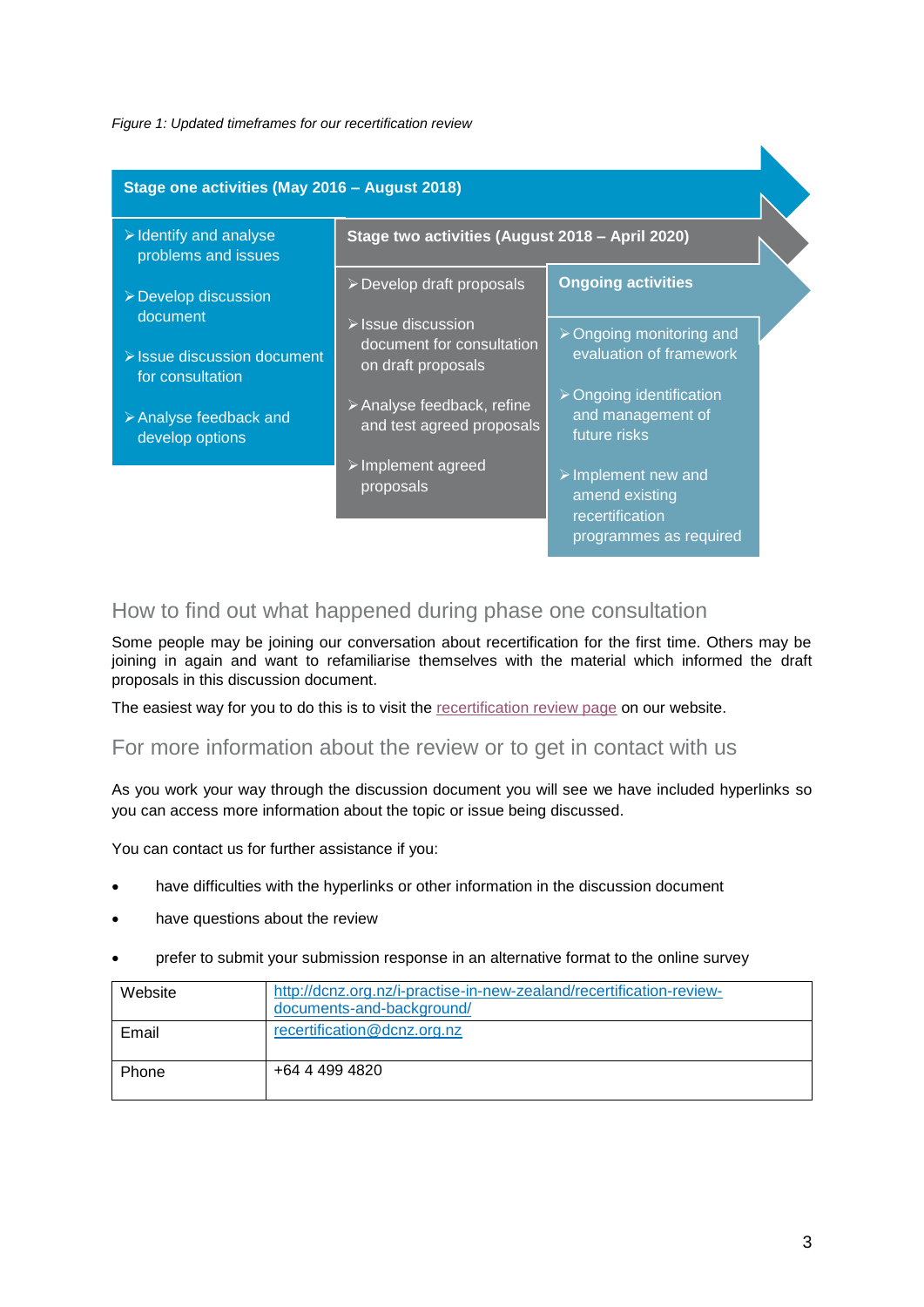### *Figure 1: Updated timeframes for our recertification review*

| Stage one activities (May 2016 - August 2018)                |                                                                                      |                                                                                                   |  |
|--------------------------------------------------------------|--------------------------------------------------------------------------------------|---------------------------------------------------------------------------------------------------|--|
| $\triangleright$ Identify and analyse<br>problems and issues | Stage two activities (August 2018 - April 2020)                                      |                                                                                                   |  |
| ▶ Develop discussion                                         | $\triangleright$ Develop draft proposals                                             | <b>Ongoing activities</b>                                                                         |  |
| document<br>> Issue discussion document<br>for consultation  | $\triangleright$ Issue discussion<br>document for consultation<br>on draft proposals | > Ongoing monitoring and<br>evaluation of framework                                               |  |
| $\triangleright$ Analyse feedback and<br>develop options     | $\triangleright$ Analyse feedback, refine<br>and test agreed proposals               | $\triangleright$ Ongoing identification<br>and management of<br>future risks                      |  |
|                                                              | $\triangleright$ Implement agreed<br>proposals                                       | $\triangleright$ Implement new and<br>amend existing<br>recertification<br>programmes as required |  |

### How to find out what happened during phase one consultation

Some people may be joining our conversation about recertification for the first time. Others may be joining in again and want to refamiliarise themselves with the material which informed the draft proposals in this discussion document.

The easiest way for you to do this is to visit the [recertification review page](http://dcnz.org.nz/i-practise-in-new-zealand/recertification-review-documents-and-background/) on our website.

### For more information about the review or to get in contact with us

As you work your way through the discussion document you will see we have included hyperlinks so you can access more information about the topic or issue being discussed.

You can contact us for further assistance if you:

- have difficulties with the hyperlinks or other information in the discussion document
- have questions about the review
- prefer to submit your submission response in an alternative format to the online survey

| Website | http://dcnz.org.nz/i-practise-in-new-zealand/recertification-review-<br>documents-and-background/ |
|---------|---------------------------------------------------------------------------------------------------|
| Email   | recertification@dcnz.org.nz                                                                       |
| Phone   | +64 4 499 4820                                                                                    |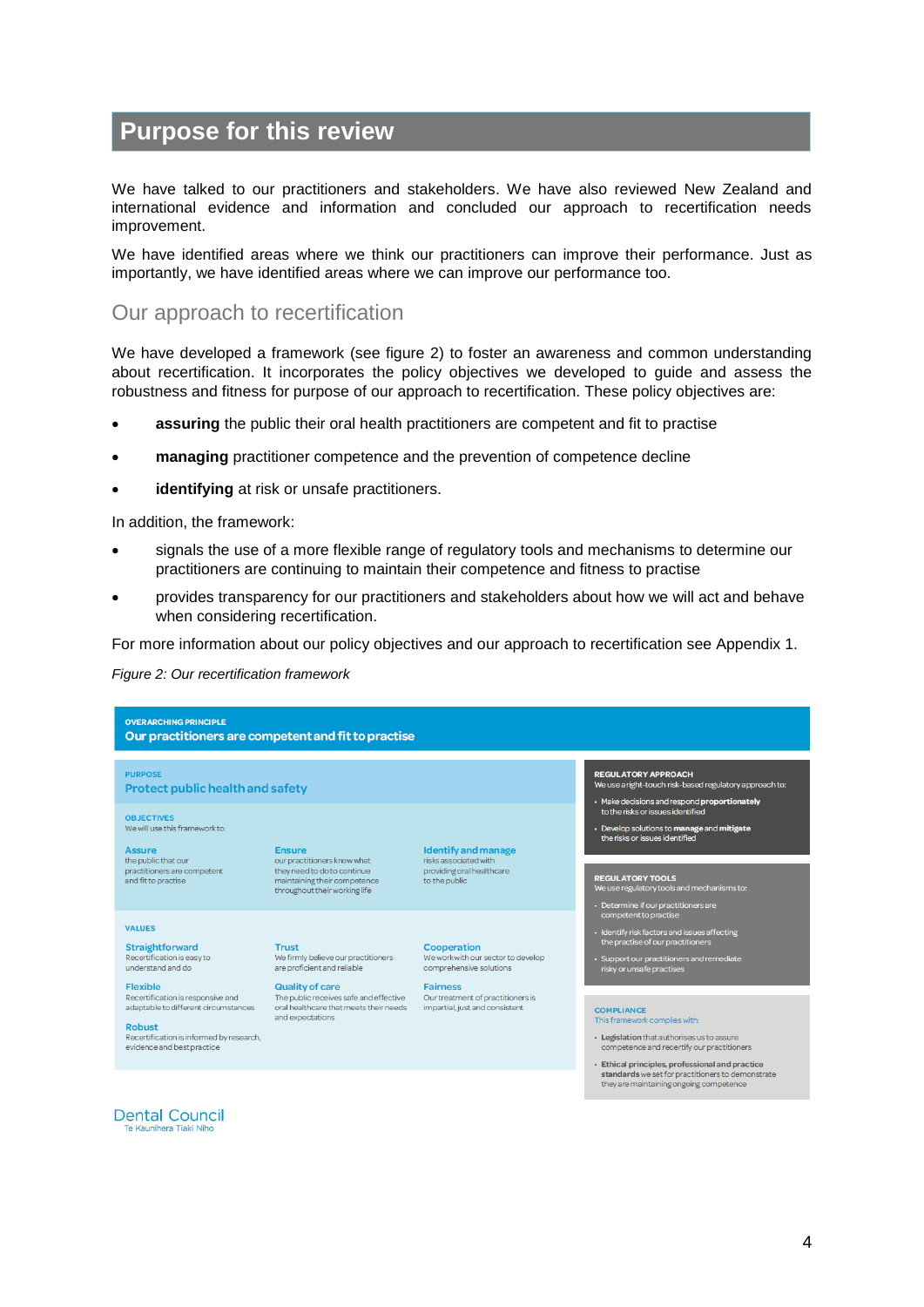# **Purpose for this review**

We have talked to our practitioners and stakeholders. We have also reviewed New Zealand and international evidence and information and concluded our approach to recertification needs improvement.

We have identified areas where we think our practitioners can improve their performance. Just as importantly, we have identified areas where we can improve our performance too.

### Our approach to recertification

We have developed a framework (see figure 2) to foster an awareness and common understanding about recertification. It incorporates the policy objectives we developed to guide and assess the robustness and fitness for purpose of our approach to recertification. These policy objectives are:

- **assuring** the public their oral health practitioners are competent and fit to practise
- **managing** practitioner competence and the prevention of competence decline
- **identifying** at risk or unsafe practitioners.

In addition, the framework:

- signals the use of a more flexible range of regulatory tools and mechanisms to determine our practitioners are continuing to maintain their competence and fitness to practise
- provides transparency for our practitioners and stakeholders about how we will act and behave when considering recertification.

For more information about our policy objectives and our approach to recertification see Appendix 1.

### *Figure 2: Our recertification framework*

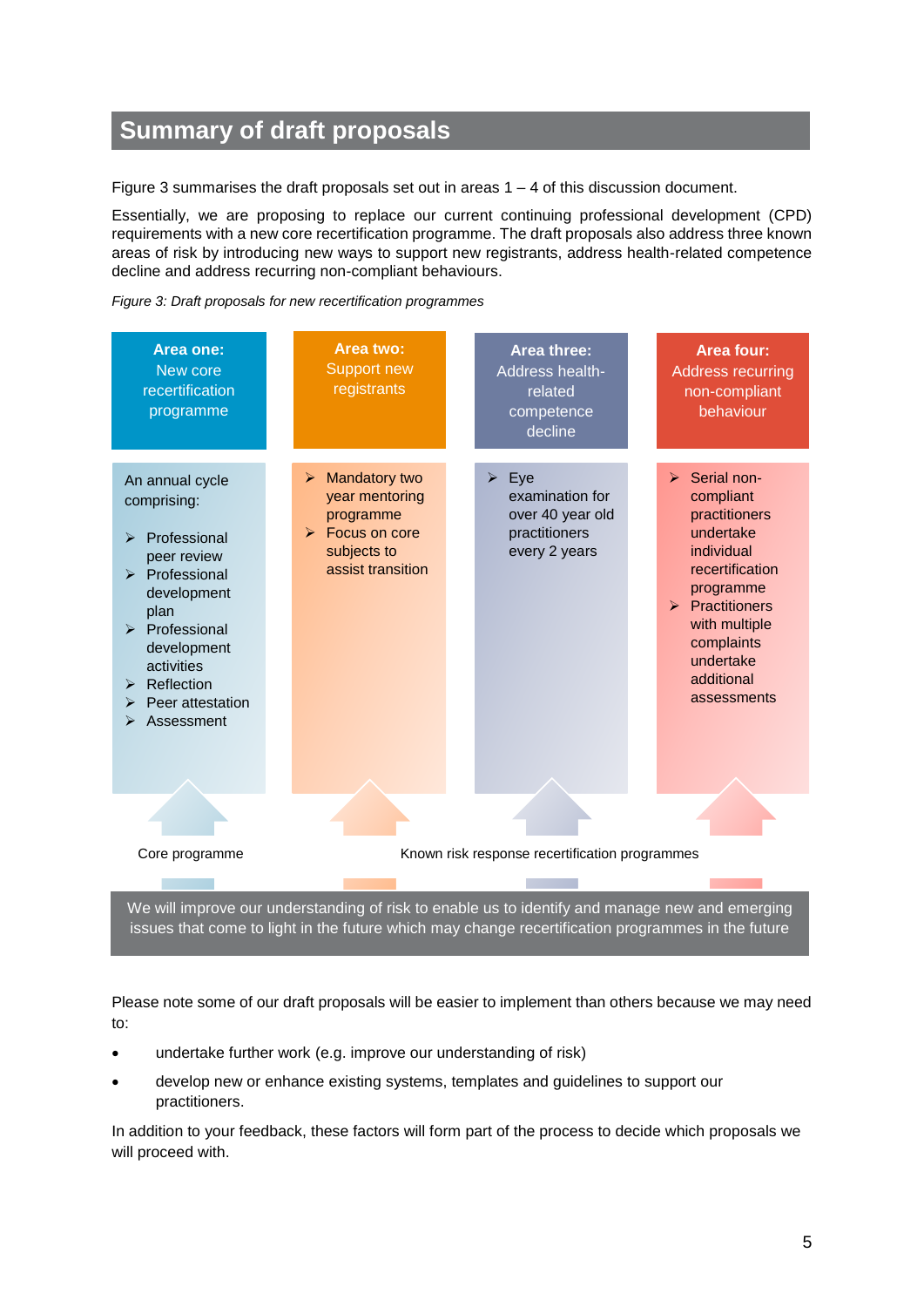# **Summary of draft proposals**

Figure 3 summarises the draft proposals set out in areas  $1 - 4$  of this discussion document.

Essentially, we are proposing to replace our current continuing professional development (CPD) requirements with a new core recertification programme. The draft proposals also address three known areas of risk by introducing new ways to support new registrants, address health-related competence decline and address recurring non-compliant behaviours.





We will improve our understanding of risk to enable us to identify and manage new and emerging issues that come to light in the future which may change recertification programmes in the future

Please note some of our draft proposals will be easier to implement than others because we may need to:

- undertake further work (e.g. improve our understanding of risk)
- develop new or enhance existing systems, templates and guidelines to support our practitioners.

In addition to your feedback, these factors will form part of the process to decide which proposals we will proceed with.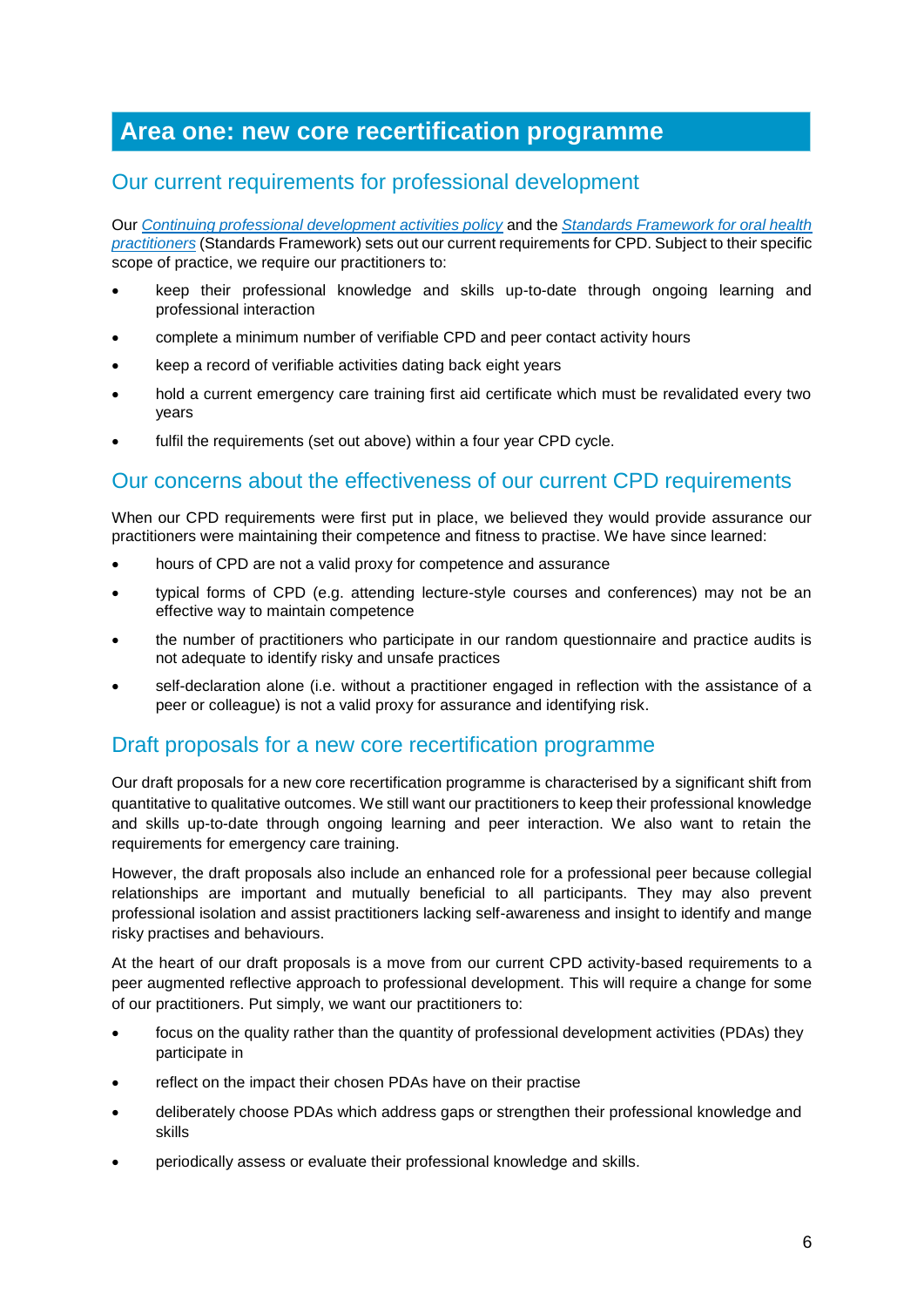# **Area one: new core recertification programme**

# Our current requirements for professional development

Our *[Continuing professional development](http://dcnz.org.nz/assets/Uploads/Policies/Continuing-professional-development-activities.pdf) activities policy* and the *[Standards Framework for oral health](http://dcnz.org.nz/i-practise-in-new-zealand/standards-framework/)  [practitioners](http://dcnz.org.nz/i-practise-in-new-zealand/standards-framework/)* (Standards Framework) sets out our current requirements for CPD. Subject to their specific scope of practice, we require our practitioners to:

- keep their professional knowledge and skills up-to-date through ongoing learning and professional interaction
- complete a minimum number of verifiable CPD and peer contact activity hours
- keep a record of verifiable activities dating back eight years
- hold a current emergency care training first aid certificate which must be revalidated every two years
- fulfil the requirements (set out above) within a four year CPD cycle.

### Our concerns about the effectiveness of our current CPD requirements

When our CPD requirements were first put in place, we believed they would provide assurance our practitioners were maintaining their competence and fitness to practise. We have since learned:

- hours of CPD are not a valid proxy for competence and assurance
- typical forms of CPD (e.g. attending lecture-style courses and conferences) may not be an effective way to maintain competence
- the number of practitioners who participate in our random questionnaire and practice audits is not adequate to identify risky and unsafe practices
- self-declaration alone (i.e. without a practitioner engaged in reflection with the assistance of a peer or colleague) is not a valid proxy for assurance and identifying risk.

### Draft proposals for a new core recertification programme

Our draft proposals for a new core recertification programme is characterised by a significant shift from quantitative to qualitative outcomes. We still want our practitioners to keep their professional knowledge and skills up-to-date through ongoing learning and peer interaction. We also want to retain the requirements for emergency care training.

However, the draft proposals also include an enhanced role for a professional peer because collegial relationships are important and mutually beneficial to all participants. They may also prevent professional isolation and assist practitioners lacking self-awareness and insight to identify and mange risky practises and behaviours.

At the heart of our draft proposals is a move from our current CPD activity-based requirements to a peer augmented reflective approach to professional development. This will require a change for some of our practitioners. Put simply, we want our practitioners to:

- focus on the quality rather than the quantity of professional development activities (PDAs) they participate in
- reflect on the impact their chosen PDAs have on their practise
- deliberately choose PDAs which address gaps or strengthen their professional knowledge and skills
- periodically assess or evaluate their professional knowledge and skills.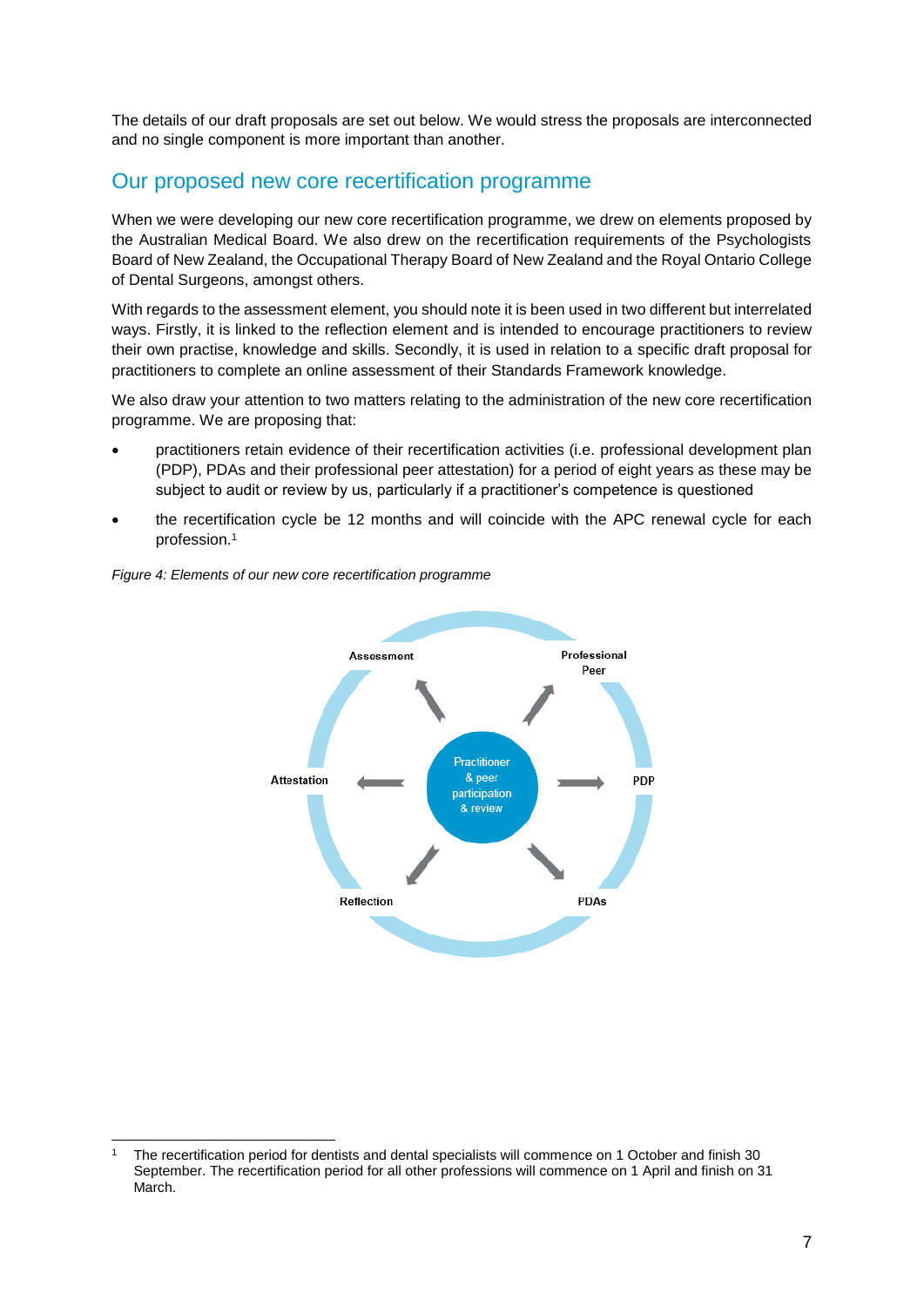The details of our draft proposals are set out below. We would stress the proposals are interconnected and no single component is more important than another.

# Our proposed new core recertification programme

When we were developing our new core recertification programme, we drew on elements proposed by the Australian Medical Board. We also drew on the recertification requirements of the Psychologists Board of New Zealand, the Occupational Therapy Board of New Zealand and the Royal Ontario College of Dental Surgeons, amongst others.

With regards to the assessment element, you should note it is been used in two different but interrelated ways. Firstly, it is linked to the reflection element and is intended to encourage practitioners to review their own practise, knowledge and skills. Secondly, it is used in relation to a specific draft proposal for practitioners to complete an online assessment of their Standards Framework knowledge.

We also draw your attention to two matters relating to the administration of the new core recertification programme. We are proposing that:

- practitioners retain evidence of their recertification activities (i.e. professional development plan (PDP), PDAs and their professional peer attestation) for a period of eight years as these may be subject to audit or review by us, particularly if a practitioner's competence is questioned
- the recertification cycle be 12 months and will coincide with the APC renewal cycle for each profession.<sup>1</sup>



*Figure 4: Elements of our new core recertification programme*

1

<sup>1</sup> The recertification period for dentists and dental specialists will commence on 1 October and finish 30 September. The recertification period for all other professions will commence on 1 April and finish on 31 March.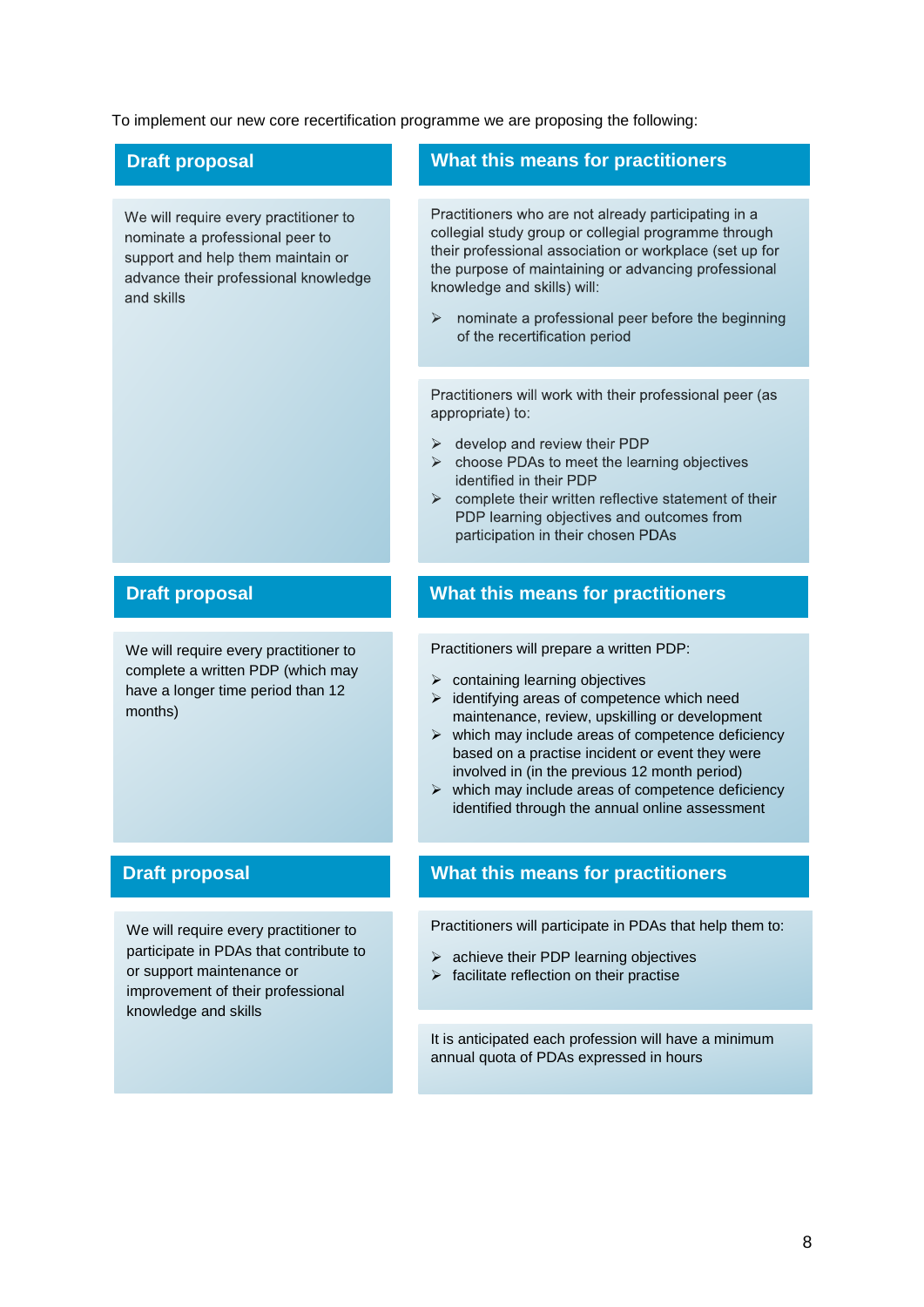To implement our new core recertification programme we are proposing the following:

We will require every practitioner to nominate a professional peer to support and help them maintain or advance their professional knowledge and skills

We will require every practitioner to complete a written PDP (which may have a longer time period than 12 months)

We will require every practitioner to participate in PDAs that contribute to or support maintenance or improvement of their professional knowledge and skills

### **Draft proposal What this means for practitioners**

Practitioners who are not already participating in a collegial study group or collegial programme through their professional association or workplace (set up for the purpose of maintaining or advancing professional knowledge and skills) will:

nominate a professional peer before the beginning  $\blacktriangleright$ of the recertification period

Practitioners will work with their professional peer (as appropriate) to:

- $\triangleright$  develop and review their PDP
- $\blacktriangleright$ choose PDAs to meet the learning objectives identified in their PDP
- $\triangleright$  complete their written reflective statement of their PDP learning objectives and outcomes from participation in their chosen PDAs

### **Draft proposal What this means for practitioners**

Practitioners will prepare a written PDP:

- $\triangleright$  containing learning objectives
- $\triangleright$  identifying areas of competence which need maintenance, review, upskilling or development
- $\triangleright$  which may include areas of competence deficiency based on a practise incident or event they were involved in (in the previous 12 month period)
- $\triangleright$  which may include areas of competence deficiency identified through the annual online assessment

### **Draft proposal What this means for practitioners**

Practitioners will participate in PDAs that help them to:

- $\triangleright$  achieve their PDP learning objectives
- $\triangleright$  facilitate reflection on their practise

It is anticipated each profession will have a minimum annual quota of PDAs expressed in hours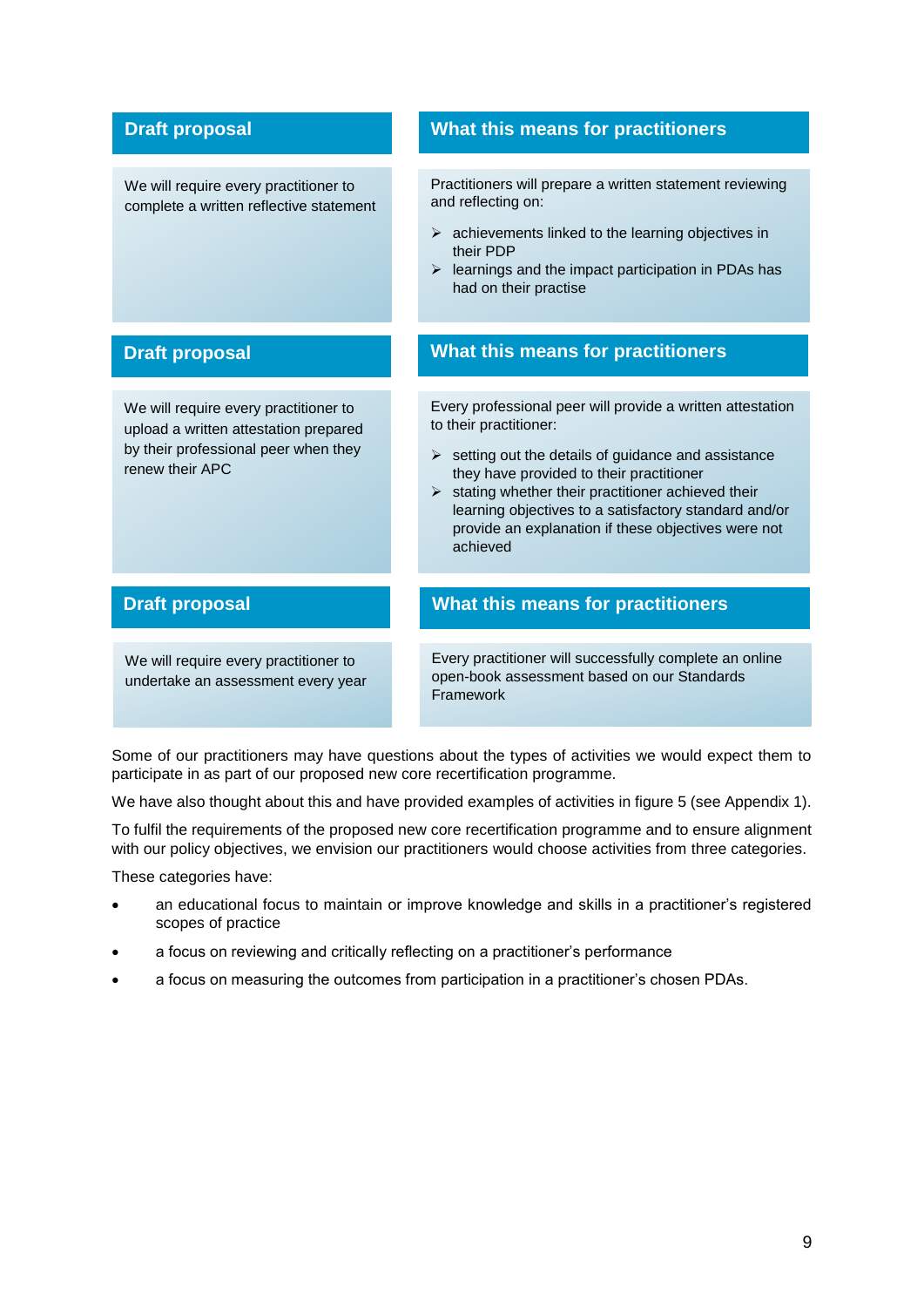### **Draft proposal**

We will require every practitioner to complete a written reflective statement

We will require every practitioner to upload a written attestation prepared by their professional peer when they renew their APC

We will require every practitioner to undertake an assessment every year

### **What this means for practitioners**

Practitioners will prepare a written statement reviewing and reflecting on:

- $\triangleright$  achievements linked to the learning objectives in their PDP
- $\triangleright$  learnings and the impact participation in PDAs has had on their practise

### **Draft proposal What this means for practitioners**

Every professional peer will provide a written attestation to their practitioner:

- $\triangleright$  setting out the details of guidance and assistance they have provided to their practitioner
- $\triangleright$  stating whether their practitioner achieved their learning objectives to a satisfactory standard and/or provide an explanation if these objectives were not achieved

### **Draft proposal What this means for practitioners**

Every practitioner will successfully complete an online open-book assessment based on our Standards Framework

Some of our practitioners may have questions about the types of activities we would expect them to participate in as part of our proposed new core recertification programme.

We have also thought about this and have provided examples of activities in figure 5 (see Appendix 1).

To fulfil the requirements of the proposed new core recertification programme and to ensure alignment with our policy objectives, we envision our practitioners would choose activities from three categories.

These categories have:

- an educational focus to maintain or improve knowledge and skills in a practitioner's registered scopes of practice
- a focus on reviewing and critically reflecting on a practitioner's performance
- a focus on measuring the outcomes from participation in a practitioner's chosen PDAs.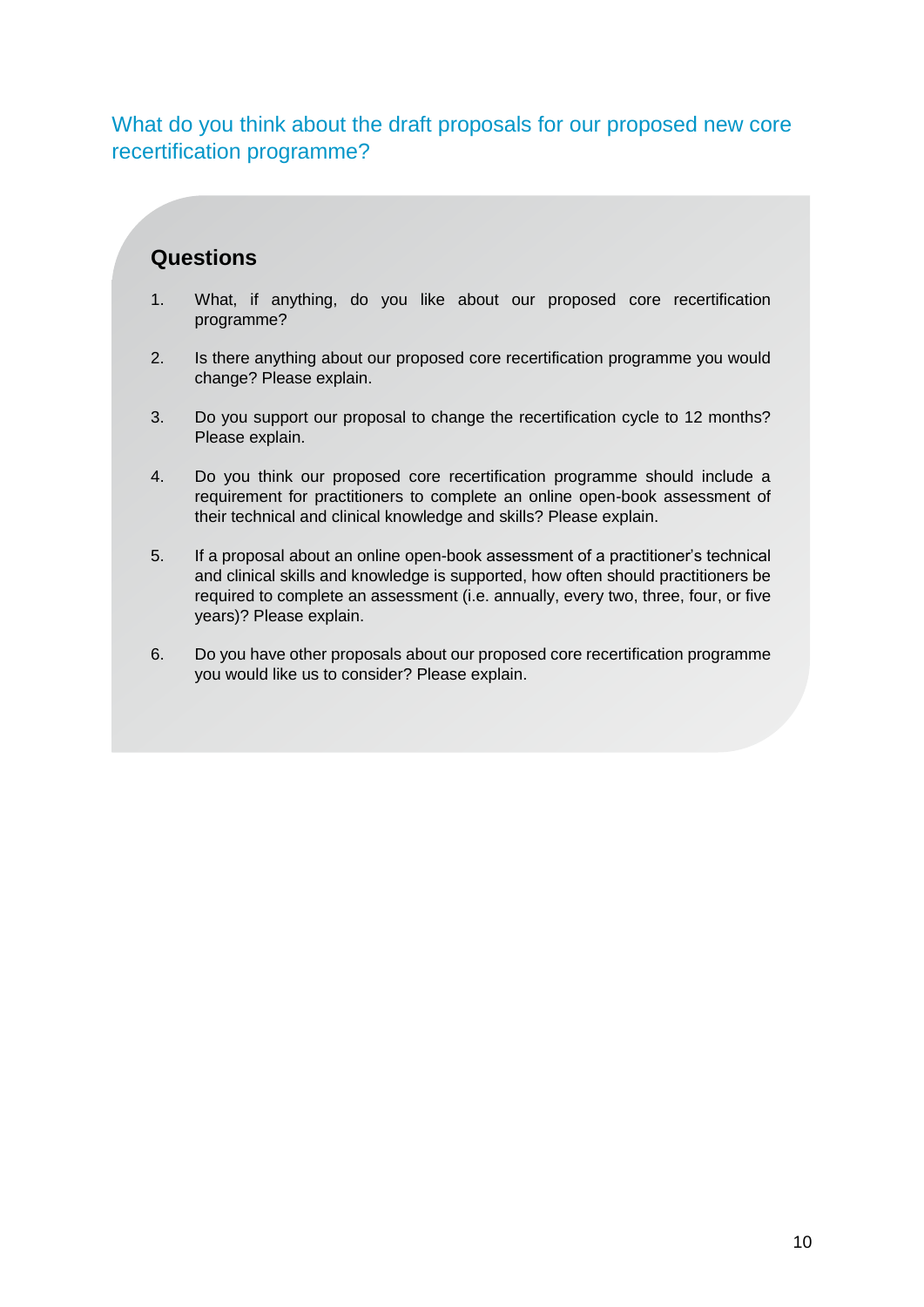What do you think about the draft proposals for our proposed new core recertification programme?

# **Questions**

- 1. What, if anything, do you like about our proposed core recertification programme?
- 2. Is there anything about our proposed core recertification programme you would change? Please explain.
- 3. Do you support our proposal to change the recertification cycle to 12 months? Please explain.
- 4. Do you think our proposed core recertification programme should include a requirement for practitioners to complete an online open-book assessment of their technical and clinical knowledge and skills? Please explain.
- 5. If a proposal about an online open-book assessment of a practitioner's technical and clinical skills and knowledge is supported, how often should practitioners be required to complete an assessment (i.e. annually, every two, three, four, or five years)? Please explain.
- 6. Do you have other proposals about our proposed core recertification programme you would like us to consider? Please explain.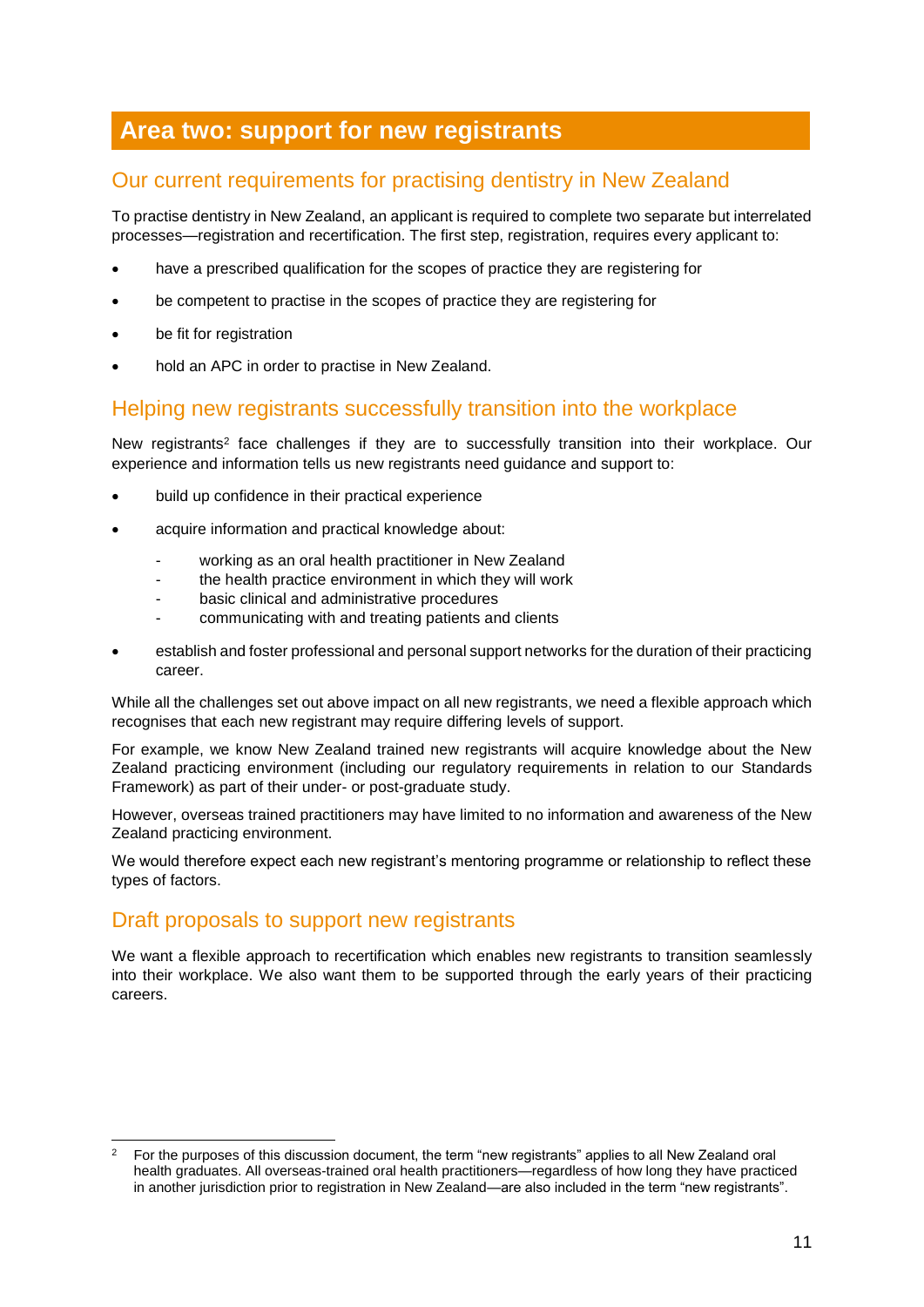# **Area two: support for new registrants**

# Our current requirements for practising dentistry in New Zealand

To practise dentistry in New Zealand, an applicant is required to complete two separate but interrelated processes—registration and recertification. The first step, registration, requires every applicant to:

- have a prescribed qualification for the scopes of practice they are registering for
- be competent to practise in the scopes of practice they are registering for
- be fit for registration
- hold an APC in order to practise in New Zealand.

### Helping new registrants successfully transition into the workplace

New registrants<sup>2</sup> face challenges if they are to successfully transition into their workplace. Our experience and information tells us new registrants need guidance and support to:

- build up confidence in their practical experience
- acquire information and practical knowledge about:
	- working as an oral health practitioner in New Zealand
	- the health practice environment in which they will work
	- basic clinical and administrative procedures
	- communicating with and treating patients and clients
- establish and foster professional and personal support networks for the duration of their practicing career.

While all the challenges set out above impact on all new registrants, we need a flexible approach which recognises that each new registrant may require differing levels of support.

For example, we know New Zealand trained new registrants will acquire knowledge about the New Zealand practicing environment (including our regulatory requirements in relation to our Standards Framework) as part of their under- or post-graduate study.

However, overseas trained practitioners may have limited to no information and awareness of the New Zealand practicing environment.

We would therefore expect each new registrant's mentoring programme or relationship to reflect these types of factors.

# Draft proposals to support new registrants

1

We want a flexible approach to recertification which enables new registrants to transition seamlessly into their workplace. We also want them to be supported through the early years of their practicing careers.

<sup>&</sup>lt;sup>2</sup> For the purposes of this discussion document, the term "new registrants" applies to all New Zealand oral health graduates. All overseas-trained oral health practitioners—regardless of how long they have practiced in another jurisdiction prior to registration in New Zealand—are also included in the term "new registrants".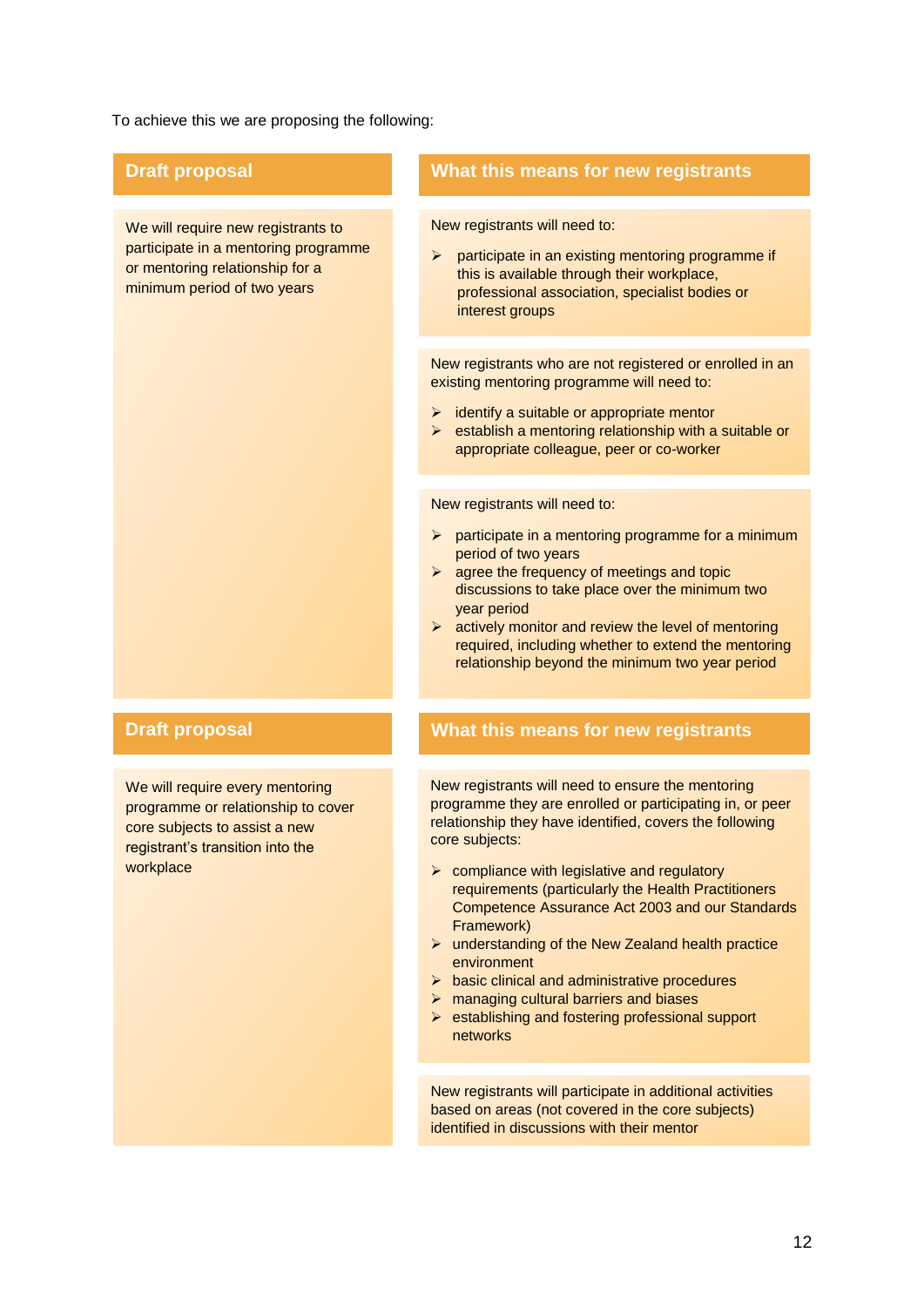To achieve this we are proposing the following:

We will require new registrants to participate in a mentoring programme or mentoring relationship for a minimum period of two years

We will require every mentoring programme or relationship to cover core subjects to assist a new registrant's transition into the workplace

### **Draft proposal What this means for new registrants**

New registrants will need to:

 $\triangleright$  participate in an existing mentoring programme if this is available through their workplace, professional association, specialist bodies or interest groups

New registrants who are not registered or enrolled in an existing mentoring programme will need to:

- $\triangleright$  identify a suitable or appropriate mentor
- $\triangleright$  establish a mentoring relationship with a suitable or appropriate colleague, peer or co-worker

New registrants will need to:

- $\triangleright$  participate in a mentoring programme for a minimum period of two years
- $\triangleright$  agree the frequency of meetings and topic discussions to take place over the minimum two year period
- $\triangleright$  actively monitor and review the level of mentoring required, including whether to extend the mentoring relationship beyond the minimum two year period

### **Draft proposal What this means for new registrants**

New registrants will need to ensure the mentoring programme they are enrolled or participating in, or peer relationship they have identified, covers the following core subjects:

- $\triangleright$  compliance with legislative and regulatory requirements (particularly the Health Practitioners Competence Assurance Act 2003 and our Standards Framework)
- $\triangleright$  understanding of the New Zealand health practice environment
- $\triangleright$  basic clinical and administrative procedures
- $\triangleright$  managing cultural barriers and biases
- $\triangleright$  establishing and fostering professional support networks

New registrants will participate in additional activities based on areas (not covered in the core subjects) identified in discussions with their mentor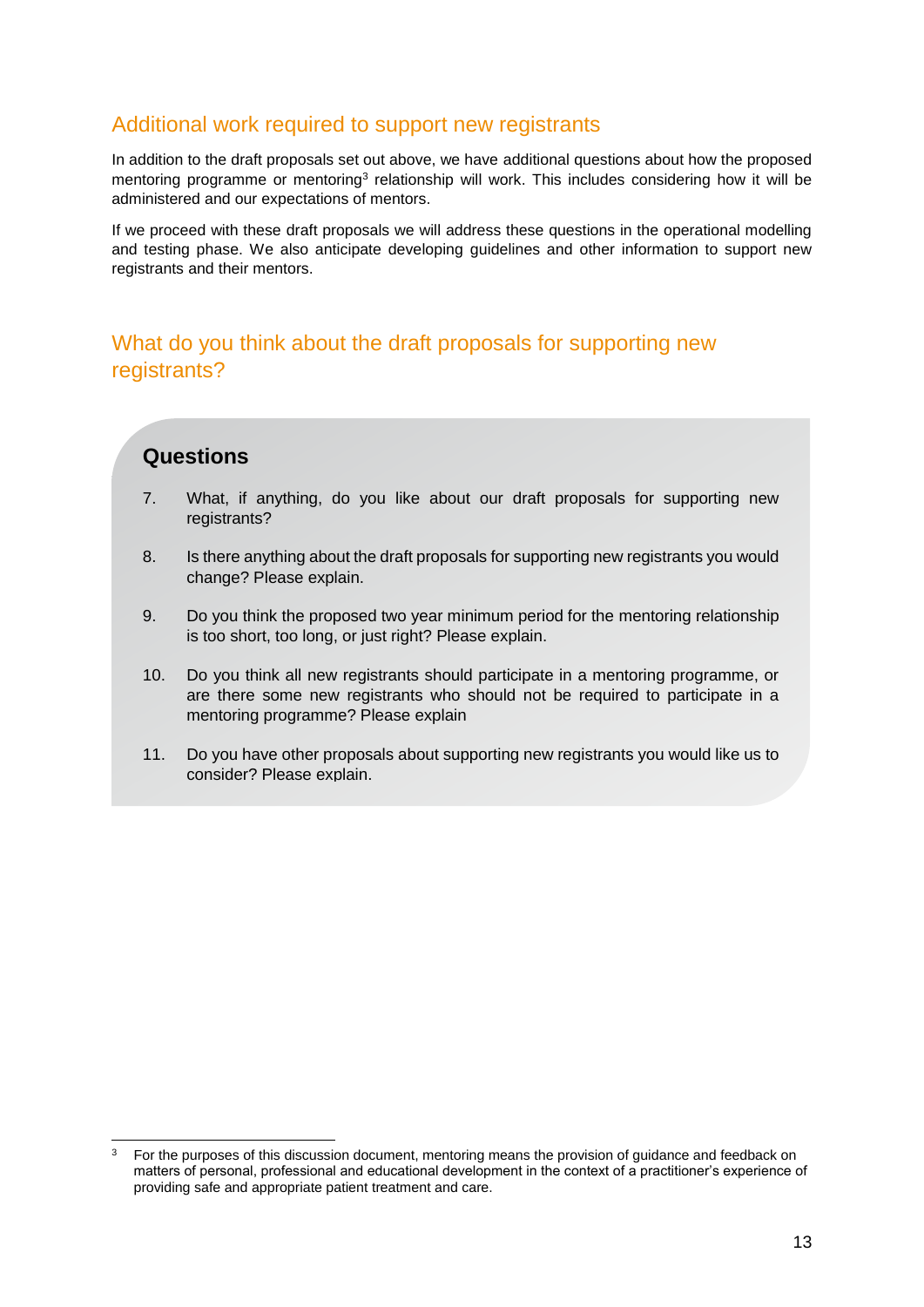### Additional work required to support new registrants

In addition to the draft proposals set out above, we have additional questions about how the proposed mentoring programme or mentoring<sup>3</sup> relationship will work. This includes considering how it will be administered and our expectations of mentors.

If we proceed with these draft proposals we will address these questions in the operational modelling and testing phase. We also anticipate developing guidelines and other information to support new registrants and their mentors.

# What do you think about the draft proposals for supporting new registrants?

# **Questions**

1

- 7. What, if anything, do you like about our draft proposals for supporting new registrants?
- 8. Is there anything about the draft proposals for supporting new registrants you would change? Please explain.
- 9. Do you think the proposed two year minimum period for the mentoring relationship is too short, too long, or just right? Please explain.
- 10. Do you think all new registrants should participate in a mentoring programme, or are there some new registrants who should not be required to participate in a mentoring programme? Please explain
- 11. Do you have other proposals about supporting new registrants you would like us to consider? Please explain.

<sup>&</sup>lt;sup>3</sup> For the purposes of this discussion document, mentoring means the provision of quidance and feedback on matters of personal, professional and educational development in the context of a practitioner's experience of providing safe and appropriate patient treatment and care.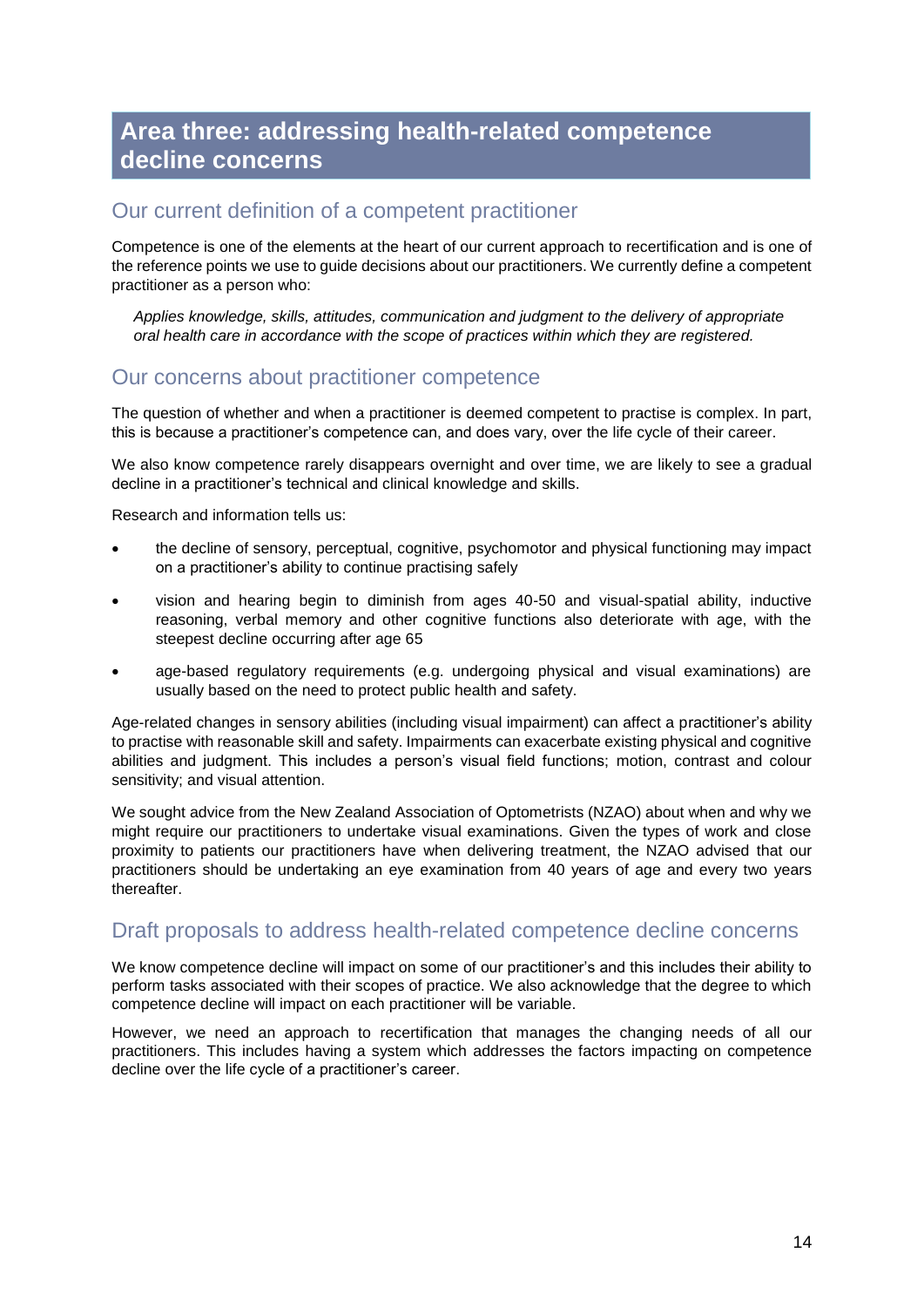# **Area three: addressing health-related competence decline concerns**

### Our current definition of a competent practitioner

Competence is one of the elements at the heart of our current approach to recertification and is one of the reference points we use to guide decisions about our practitioners. We currently define a competent practitioner as a person who:

*Applies knowledge, skills, attitudes, communication and judgment to the delivery of appropriate oral health care in accordance with the scope of practices within which they are registered.*

### Our concerns about practitioner competence

The question of whether and when a practitioner is deemed competent to practise is complex. In part, this is because a practitioner's competence can, and does vary, over the life cycle of their career.

We also know competence rarely disappears overnight and over time, we are likely to see a gradual decline in a practitioner's technical and clinical knowledge and skills.

Research and information tells us:

- the decline of sensory, perceptual, cognitive, psychomotor and physical functioning may impact on a practitioner's ability to continue practising safely
- vision and hearing begin to diminish from ages 40-50 and visual-spatial ability, inductive reasoning, verbal memory and other cognitive functions also deteriorate with age, with the steepest decline occurring after age 65
- age-based regulatory requirements (e.g. undergoing physical and visual examinations) are usually based on the need to protect public health and safety.

Age-related changes in sensory abilities (including visual impairment) can affect a practitioner's ability to practise with reasonable skill and safety. Impairments can exacerbate existing physical and cognitive abilities and judgment. This includes a person's visual field functions; motion, contrast and colour sensitivity; and visual attention.

We sought advice from the New Zealand Association of Optometrists (NZAO) about when and why we might require our practitioners to undertake visual examinations. Given the types of work and close proximity to patients our practitioners have when delivering treatment, the NZAO advised that our practitioners should be undertaking an eye examination from 40 years of age and every two years thereafter.

### Draft proposals to address health-related competence decline concerns

We know competence decline will impact on some of our practitioner's and this includes their ability to perform tasks associated with their scopes of practice. We also acknowledge that the degree to which competence decline will impact on each practitioner will be variable.

However, we need an approach to recertification that manages the changing needs of all our practitioners. This includes having a system which addresses the factors impacting on competence decline over the life cycle of a practitioner's career.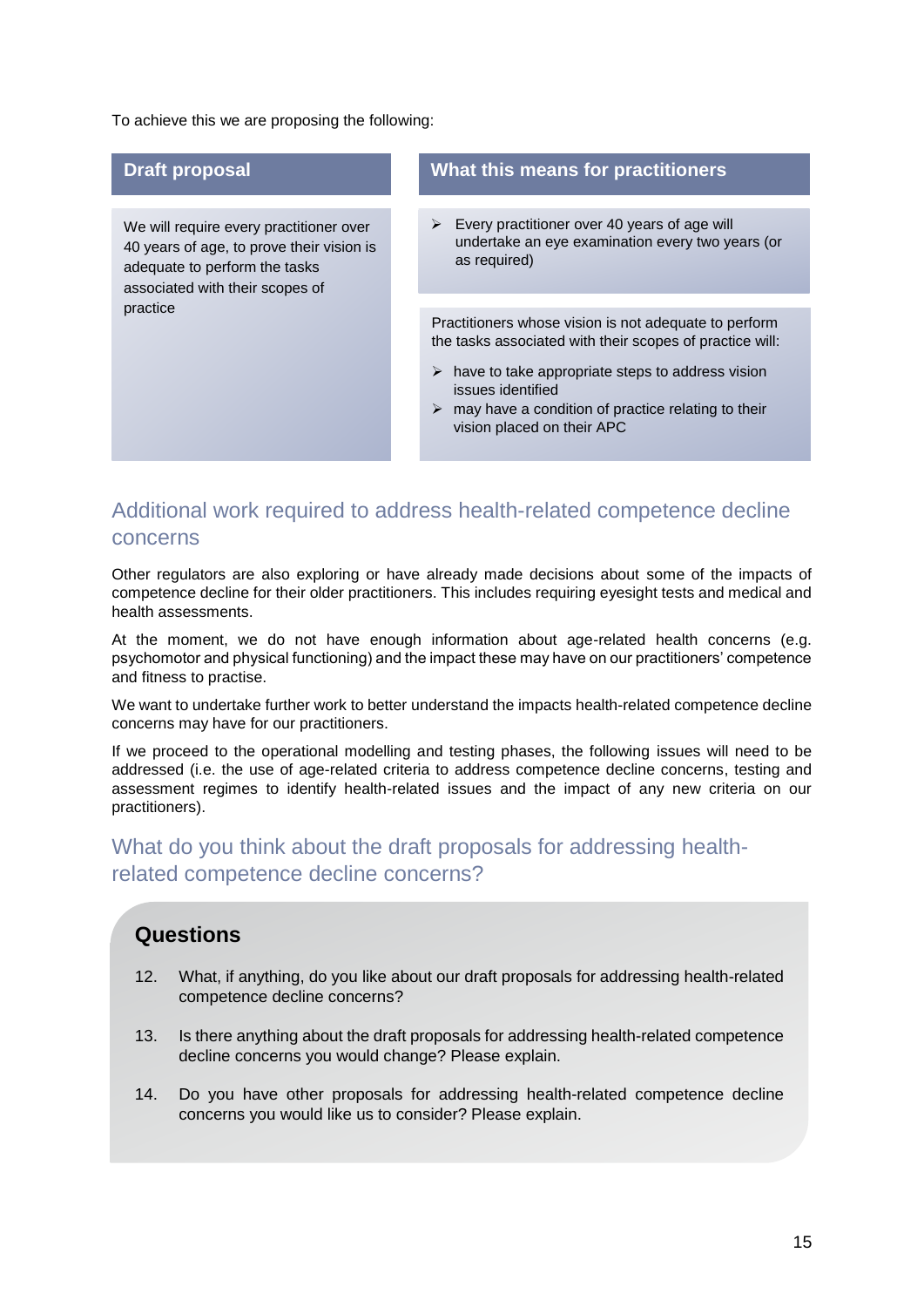To achieve this we are proposing the following:

 $\mathfrak{p}$ 

| <b>Draft proposal</b>                                                                                                                                                | What this means for practitioners                                                                                                                                                                                                                                                   |
|----------------------------------------------------------------------------------------------------------------------------------------------------------------------|-------------------------------------------------------------------------------------------------------------------------------------------------------------------------------------------------------------------------------------------------------------------------------------|
| We will require every practitioner over<br>40 years of age, to prove their vision is<br>adequate to perform the tasks<br>associated with their scopes of<br>practice | Every practitioner over 40 years of age will<br>➤<br>undertake an eye examination every two years (or<br>as required)                                                                                                                                                               |
|                                                                                                                                                                      | Practitioners whose vision is not adequate to perform<br>the tasks associated with their scopes of practice will:<br>have to take appropriate steps to address vision<br>➤<br>issues identified<br>may have a condition of practice relating to their<br>vision placed on their APC |

# Additional work required to address health-related competence decline concerns

Other regulators are also exploring or have already made decisions about some of the impacts of competence decline for their older practitioners. This includes requiring eyesight tests and medical and health assessments.

At the moment, we do not have enough information about age-related health concerns (e.g. psychomotor and physical functioning) and the impact these may have on our practitioners' competence and fitness to practise.

We want to undertake further work to better understand the impacts health-related competence decline concerns may have for our practitioners.

If we proceed to the operational modelling and testing phases, the following issues will need to be addressed (i.e. the use of age-related criteria to address competence decline concerns, testing and assessment regimes to identify health-related issues and the impact of any new criteria on our practitioners).

# What do you think about the draft proposals for addressing healthrelated competence decline concerns?

### **Questions**

- 12. What, if anything, do you like about our draft proposals for addressing health-related competence decline concerns?
- 13. Is there anything about the draft proposals for addressing health-related competence decline concerns you would change? Please explain.
- 14. Do you have other proposals for addressing health-related competence decline concerns you would like us to consider? Please explain.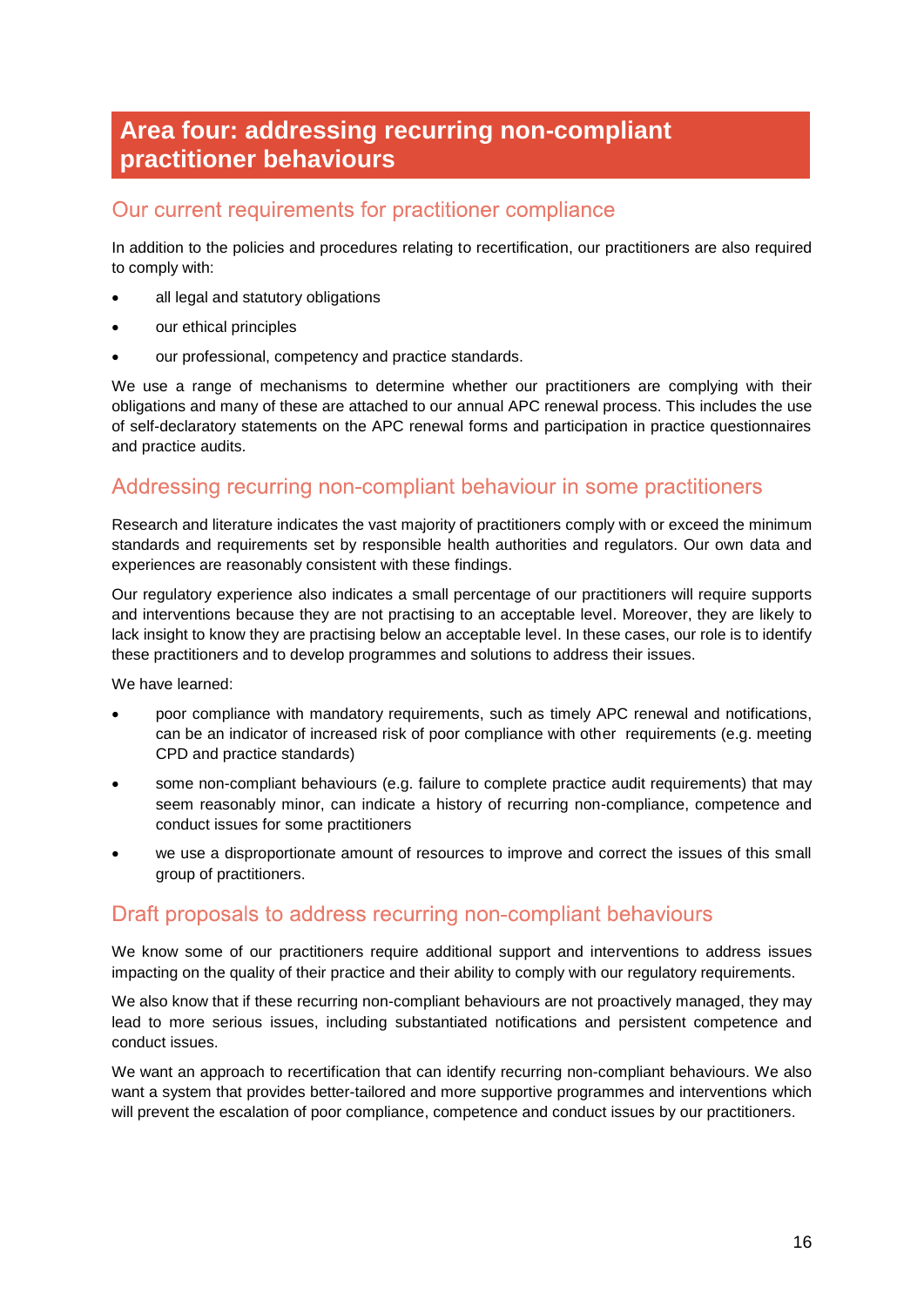# **Area four: addressing recurring non-compliant practitioner behaviours**

### Our current requirements for practitioner compliance

In addition to the policies and procedures relating to recertification, our practitioners are also required to comply with:

- all legal and statutory obligations
- our ethical principles
- our professional, competency and practice standards.

We use a range of mechanisms to determine whether our practitioners are complying with their obligations and many of these are attached to our annual APC renewal process. This includes the use of self-declaratory statements on the APC renewal forms and participation in practice questionnaires and practice audits.

### Addressing recurring non-compliant behaviour in some practitioners

Research and literature indicates the vast majority of practitioners comply with or exceed the minimum standards and requirements set by responsible health authorities and regulators. Our own data and experiences are reasonably consistent with these findings.

Our regulatory experience also indicates a small percentage of our practitioners will require supports and interventions because they are not practising to an acceptable level. Moreover, they are likely to lack insight to know they are practising below an acceptable level. In these cases, our role is to identify these practitioners and to develop programmes and solutions to address their issues.

We have learned:

- poor compliance with mandatory requirements, such as timely APC renewal and notifications, can be an indicator of increased risk of poor compliance with other requirements (e.g. meeting CPD and practice standards)
- some non-compliant behaviours (e.g. failure to complete practice audit requirements) that may seem reasonably minor, can indicate a history of recurring non-compliance, competence and conduct issues for some practitioners
- we use a disproportionate amount of resources to improve and correct the issues of this small group of practitioners.

### Draft proposals to address recurring non-compliant behaviours

We know some of our practitioners require additional support and interventions to address issues impacting on the quality of their practice and their ability to comply with our regulatory requirements.

We also know that if these recurring non-compliant behaviours are not proactively managed, they may lead to more serious issues, including substantiated notifications and persistent competence and conduct issues.

We want an approach to recertification that can identify recurring non-compliant behaviours. We also want a system that provides better-tailored and more supportive programmes and interventions which will prevent the escalation of poor compliance, competence and conduct issues by our practitioners.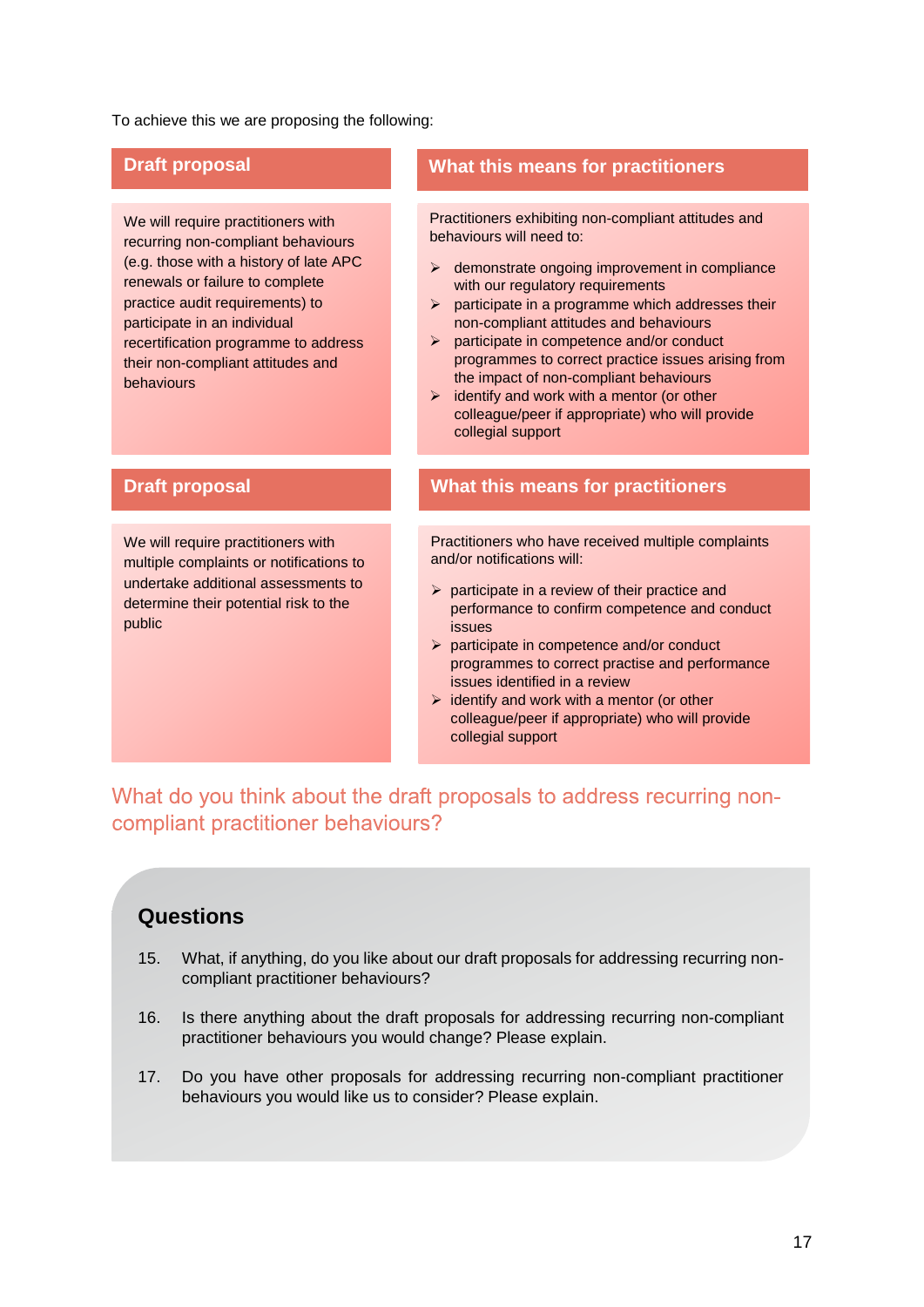To achieve this we are proposing the following:

We will require practitioners with recurring non-compliant behaviours (e.g. those with a history of late APC renewals or failure to complete practice audit requirements) to participate in an individual recertification programme to address their non-compliant attitudes and behaviours

### **Draft proposal What this means for practitioners**

Practitioners exhibiting non-compliant attitudes and behaviours will need to:

- $\triangleright$  demonstrate ongoing improvement in compliance with our regulatory requirements
- $\triangleright$  participate in a programme which addresses their non-compliant attitudes and behaviours
- participate in competence and/or conduct programmes to correct practice issues arising from the impact of non-compliant behaviours
- $\triangleright$  identify and work with a mentor (or other colleague/peer if appropriate) who will provide collegial support

We will require practitioners with multiple complaints or notifications to undertake additional assessments to determine their potential risk to the public

### **Draft proposal What this means for practitioners**

Practitioners who have received multiple complaints and/or notifications will:

- $\triangleright$  participate in a review of their practice and performance to confirm competence and conduct issues
- $\triangleright$  participate in competence and/or conduct programmes to correct practise and performance issues identified in a review
- $\triangleright$  identify and work with a mentor (or other colleague/peer if appropriate) who will provide collegial support

What do you think about the draft proposals to address recurring noncompliant practitioner behaviours?

### **Questions**

- 15. What, if anything, do you like about our draft proposals for addressing recurring noncompliant practitioner behaviours?
- 16. Is there anything about the draft proposals for addressing recurring non-compliant practitioner behaviours you would change? Please explain.
- 17. Do you have other proposals for addressing recurring non-compliant practitioner behaviours you would like us to consider? Please explain.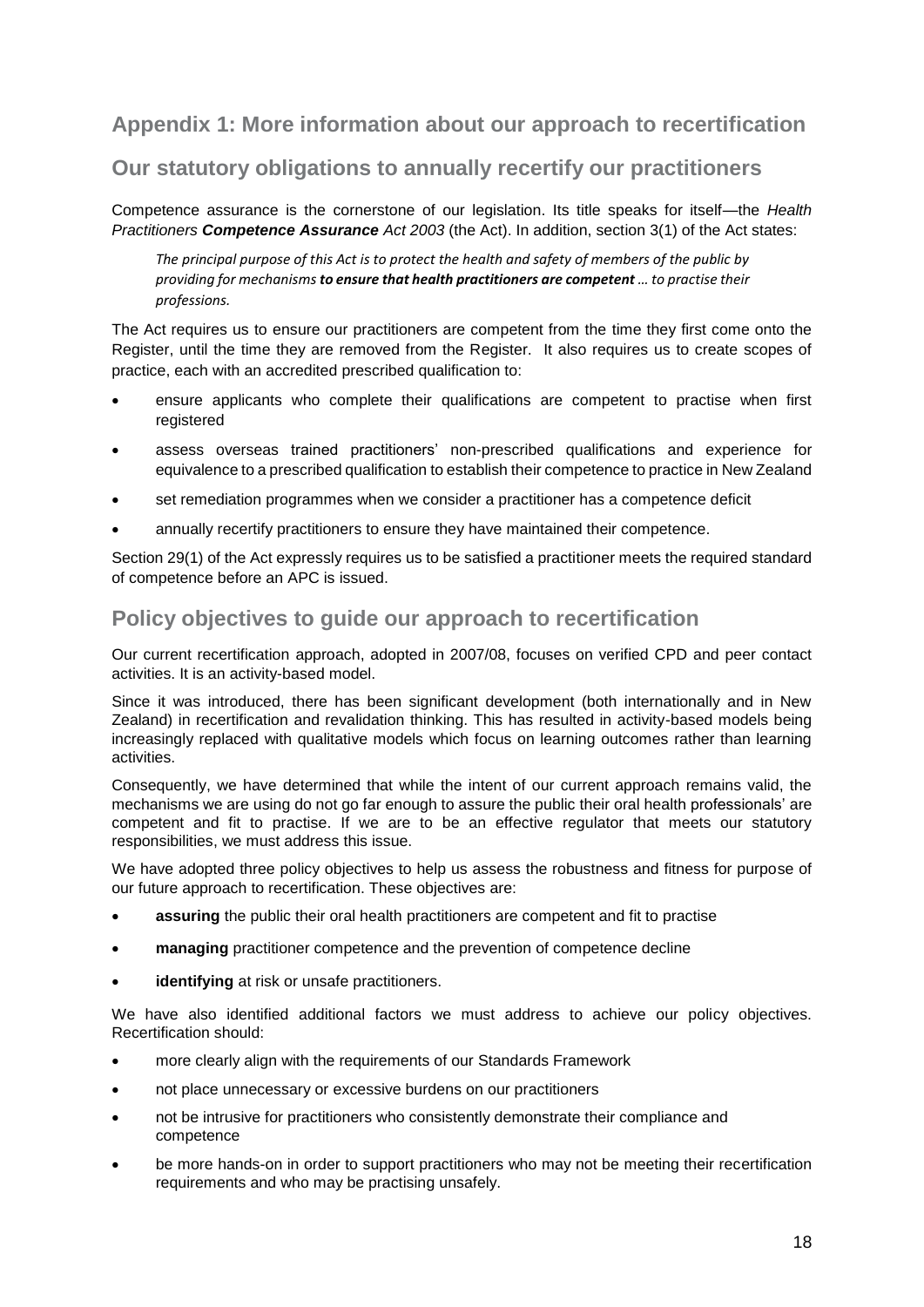# **Appendix 1: More information about our approach to recertification**

### **Our statutory obligations to annually recertify our practitioners**

Competence assurance is the cornerstone of our legislation. Its title speaks for itself—the *Health Practitioners Competence Assurance Act 2003* (the Act). In addition, section 3(1) of the Act states:

*The principal purpose of this Act is to protect the health and safety of members of the public by providing for mechanisms to ensure that health practitioners are competent … to practise their professions.*

The Act requires us to ensure our practitioners are competent from the time they first come onto the Register, until the time they are removed from the Register. It also requires us to create scopes of practice, each with an accredited prescribed qualification to:

- ensure applicants who complete their qualifications are competent to practise when first registered
- assess overseas trained practitioners' non-prescribed qualifications and experience for equivalence to a prescribed qualification to establish their competence to practice in New Zealand
- set remediation programmes when we consider a practitioner has a competence deficit
- annually recertify practitioners to ensure they have maintained their competence.

Section 29(1) of the Act expressly requires us to be satisfied a practitioner meets the required standard of competence before an APC is issued.

### **Policy objectives to guide our approach to recertification**

Our current recertification approach, adopted in 2007/08, focuses on verified CPD and peer contact activities. It is an activity-based model.

Since it was introduced, there has been significant development (both internationally and in New Zealand) in recertification and revalidation thinking. This has resulted in activity-based models being increasingly replaced with qualitative models which focus on learning outcomes rather than learning activities.

Consequently, we have determined that while the intent of our current approach remains valid, the mechanisms we are using do not go far enough to assure the public their oral health professionals' are competent and fit to practise. If we are to be an effective regulator that meets our statutory responsibilities, we must address this issue.

We have adopted three policy objectives to help us assess the robustness and fitness for purpose of our future approach to recertification. These objectives are:

- **assuring** the public their oral health practitioners are competent and fit to practise
- **managing** practitioner competence and the prevention of competence decline
- **identifying** at risk or unsafe practitioners.

We have also identified additional factors we must address to achieve our policy objectives. Recertification should:

- more clearly align with the requirements of our Standards Framework
- not place unnecessary or excessive burdens on our practitioners
- not be intrusive for practitioners who consistently demonstrate their compliance and competence
- be more hands-on in order to support practitioners who may not be meeting their recertification requirements and who may be practising unsafely.